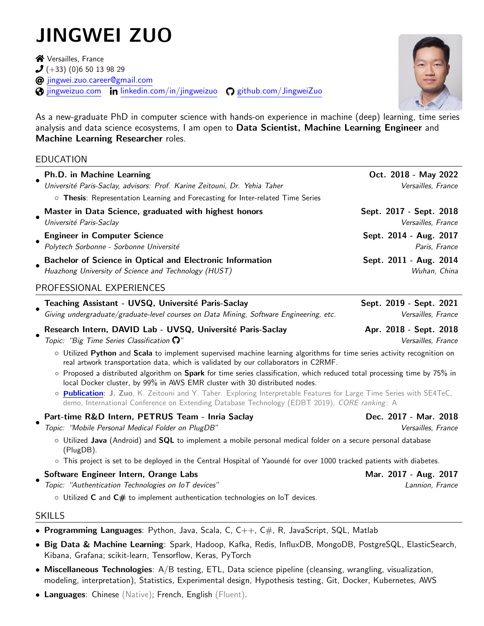# JINGWEI ZUO

**谷** Versailles, France  $\bigcup$  (+33) (0)6 50 13 98 29 @ [jingwei.zuo.career@gmail.com](mailto:jingwei.zuo.career@gmail.com)  $\bigcirc$  [jingweizuo.com](http://jingweizuo.com) in [linkedin.com/in/jingweizuo](https://linkedin.com/in/jingweizuo)  $\bigcirc$  [github.com/JingweiZuo](https://github.com/JingweiZuo)



As a new-graduate PhD in computer science with hands-on experience in machine (deep) learning, time series analysis and data science ecosystems, I am open to Data Scientist, Machine Learning Engineer and Machine Learning Researcher roles.

## EDUCATION

| Ph.D. in Machine Learning<br>Université Paris-Saclay, advisors: Prof. Karine Zeitouni, Dr. Yehia Taher<br>o Thesis: Representation Learning and Forecasting for Inter-related Time Series                                                                                                                                                                                                                                                                                                                                                                                                                                                         | Oct. 2018 - May 2022<br>Versailles, France    |
|---------------------------------------------------------------------------------------------------------------------------------------------------------------------------------------------------------------------------------------------------------------------------------------------------------------------------------------------------------------------------------------------------------------------------------------------------------------------------------------------------------------------------------------------------------------------------------------------------------------------------------------------------|-----------------------------------------------|
| Master in Data Science, graduated with highest honors<br>Université Paris-Saclay                                                                                                                                                                                                                                                                                                                                                                                                                                                                                                                                                                  | Sept. 2017 - Sept. 2018<br>Versailles, France |
| <b>Engineer in Computer Science</b><br>Polytech Sorbonne - Sorbonne Université                                                                                                                                                                                                                                                                                                                                                                                                                                                                                                                                                                    | Sept. 2014 - Aug. 2017<br>Paris, France       |
| <b>Bachelor of Science in Optical and Electronic Information</b><br>Huazhong University of Science and Technology (HUST)                                                                                                                                                                                                                                                                                                                                                                                                                                                                                                                          | Sept. 2011 - Aug. 2014<br>Wuhan, China        |
| PROFESSIONAL EXPERIENCES                                                                                                                                                                                                                                                                                                                                                                                                                                                                                                                                                                                                                          |                                               |
| Teaching Assistant - UVSQ, Université Paris-Saclay<br>Giving undergraduate/graduate-level courses on Data Mining, Software Engineering, etc.                                                                                                                                                                                                                                                                                                                                                                                                                                                                                                      | Sept. 2019 - Sept. 2021<br>Versailles, France |
| Research Intern, DAVID Lab - UVSQ, Université Paris-Saclay<br>Topic: "Big Time Series Classification $\mathbf{Q}$ "                                                                                                                                                                                                                                                                                                                                                                                                                                                                                                                               | Apr. 2018 - Sept. 2018<br>Versailles, France  |
| o Utilized Python and Scala to implement supervised machine learning algorithms for time series activity recognition on<br>real artwork transportation data, which is validated by our collaborators in C2RMF.<br>○ Proposed a distributed algorithm on Spark for time series classification, which reduced total processing time by 75% in<br>local Docker cluster, by 99% in AWS EMR cluster with 30 distributed nodes.<br>o Publication: J. Zuo, K. Zeitouni and Y. Taher. Exploring Interpretable Features for Large Time Series with SE4TeC,<br>demo, International Conference on Extending Database Technology (EDBT 2019), CORE ranking: A |                                               |
| Part-time R&D Intern, PETRUS Team - Inria Saclay<br>Topic: "Mobile Personal Medical Folder on PlugDB"                                                                                                                                                                                                                                                                                                                                                                                                                                                                                                                                             | Dec. 2017 - Mar. 2018<br>Versailles, France   |
| o Utilized Java (Android) and SQL to implement a mobile personal medical folder on a secure personal database<br>(PlugDB).                                                                                                                                                                                                                                                                                                                                                                                                                                                                                                                        |                                               |
| o This project is set to be deployed in the Central Hospital of Yaoundé for over 1000 tracked patients with diabetes.                                                                                                                                                                                                                                                                                                                                                                                                                                                                                                                             |                                               |
| Software Engineer Intern, Orange Labs                                                                                                                                                                                                                                                                                                                                                                                                                                                                                                                                                                                                             | Mar. 2017 - Aug. 2017                         |
| Topic: "Authentication Technologies on IoT devices"                                                                                                                                                                                                                                                                                                                                                                                                                                                                                                                                                                                               | Lannion, France                               |
| $\circ$ Utilized C and C# to implement authentication technologies on IoT devices.                                                                                                                                                                                                                                                                                                                                                                                                                                                                                                                                                                |                                               |

## **SKILLS**

- Programming Languages: Python, Java, Scala, C, C++, C $#$ , R, JavaScript, SQL, Matlab
- Big Data & Machine Learning: Spark, Hadoop, Kafka, Redis, InfluxDB, MongoDB, PostgreSQL, ElasticSearch, Kibana, Grafana; scikit-learn, Tensorflow, Keras, PyTorch
- Miscellaneous Technologies: A/B testing, ETL, Data science pipeline (cleansing, wrangling, visualization, modeling, interpretation), Statistics, Experimental design, Hypothesis testing, Git, Docker, Kubernetes, AWS
- Languages: Chinese (Native); French, English (Fluent).